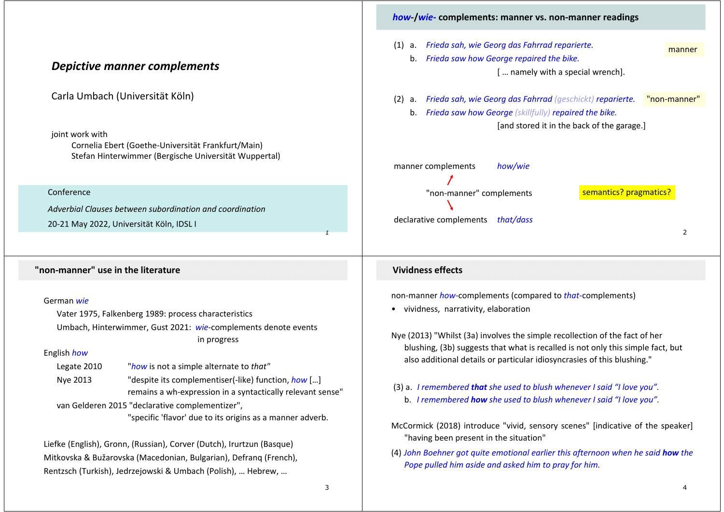|                                                                                                                                                                                                                                                                         | <i>how-fwie-</i> complements: manner vs. non-manner readings                                                                                                                                                                                                         |
|-------------------------------------------------------------------------------------------------------------------------------------------------------------------------------------------------------------------------------------------------------------------------|----------------------------------------------------------------------------------------------------------------------------------------------------------------------------------------------------------------------------------------------------------------------|
| <b>Depictive manner complements</b>                                                                                                                                                                                                                                     | a. Frieda sah, wie Georg das Fahrrad reparierte.<br>(1)<br>manner<br>b. Frieda saw how George repaired the bike.<br>[ namely with a special wrench].                                                                                                                 |
| Carla Umbach (Universität Köln)<br>joint work with                                                                                                                                                                                                                      | (2) a. Frieda sah, wie Georg das Fahrrad (geschickt) reparierte.<br>"non-manner"<br>b. Frieda saw how George (skillfully) repaired the bike.<br>[and stored it in the back of the garage.]                                                                           |
| Cornelia Ebert (Goethe-Universität Frankfurt/Main)<br>Stefan Hinterwimmer (Bergische Universität Wuppertal)                                                                                                                                                             | manner complements<br>how/wie                                                                                                                                                                                                                                        |
| Conference                                                                                                                                                                                                                                                              | semantics? pragmatics?<br>"non-manner" complements                                                                                                                                                                                                                   |
| Adverbial Clauses between subordination and coordination                                                                                                                                                                                                                |                                                                                                                                                                                                                                                                      |
| 20-21 May 2022, Universität Köln, IDSL I                                                                                                                                                                                                                                | declarative complements<br>that/dass<br>2                                                                                                                                                                                                                            |
| "non-manner" use in the literature                                                                                                                                                                                                                                      | <b>Vividness effects</b>                                                                                                                                                                                                                                             |
| German wie<br>Vater 1975, Falkenberg 1989: process characteristics<br>Umbach, Hinterwimmer, Gust 2021: wie-complements denote events                                                                                                                                    | non-manner how-complements (compared to that-complements)<br>• vividness, narrativity, elaboration                                                                                                                                                                   |
| in progress<br>English how<br>"how is not a simple alternate to that"<br>Legate 2010                                                                                                                                                                                    | Nye (2013) "Whilst (3a) involves the simple recollection of the fact of her<br>blushing, (3b) suggests that what is recalled is not only this simple fact, but<br>also additional details or particular idiosyncrasies of this blushing."                            |
| "despite its complementiser(-like) function, how []<br>Nye 2013<br>remains a wh-expression in a syntactically relevant sense"<br>van Gelderen 2015 "declarative complementizer",                                                                                        | (3) a. I remembered that she used to blush whenever I said "I love you".<br>b. I remembered how she used to blush whenever I said "I love you".                                                                                                                      |
| "specific 'flavor' due to its origins as a manner adverb.<br>Liefke (English), Gronn, (Russian), Corver (Dutch), Irurtzun (Basque)<br>Mitkovska & Bužarovska (Macedonian, Bulgarian), Defranq (French),<br>Rentzsch (Turkish), Jedrzejowski & Umbach (Polish),  Hebrew, | McCormick (2018) introduce "vivid, sensory scenes" [indicative of the speaker]<br>"having been present in the situation"<br>(4) John Boehner got quite emotional earlier this afternoon when he said how the<br>Pope pulled him aside and asked him to pray for him. |

*how***‐/***wie‐* **complements: manner vs. non‐manner readings**

3

4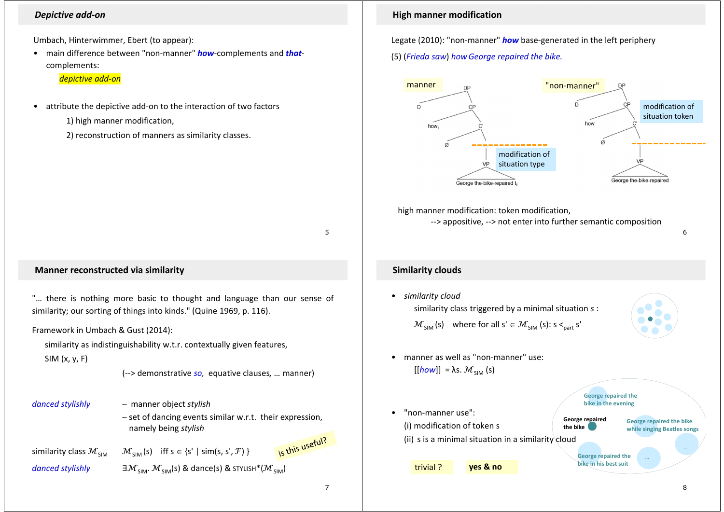## *Depictive add‐on*

Umbach, Hinterwimmer, Ebert (to appear):

• main difference between "non‐manner" *how*‐complements and *that*‐ complements:

## *depictive add‐on*

•attribute the depictive add‐on to the interaction of two factors

1) high manner modification,

2) reconstruction of manners as similarity classes.

**High manner modification**

Legate (2010): "non‐manner" *how* base‐generated in the left periphery

## (5) (*Frieda saw*) *how George repaired the bike.*